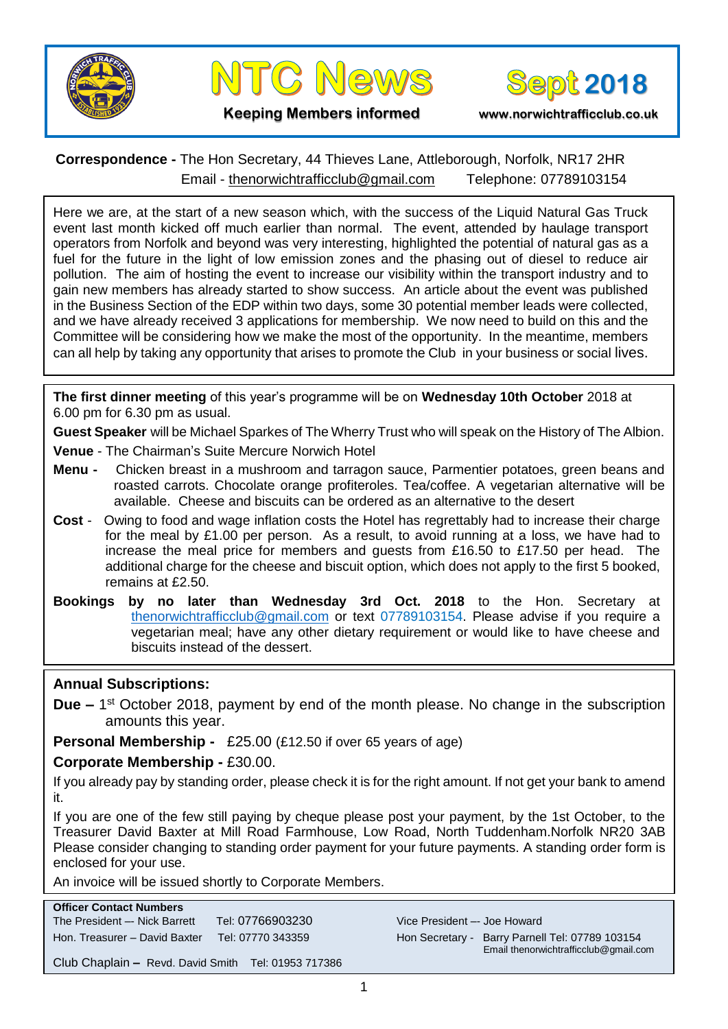





**Keeping Members informed www.norwichtrafficclub.co.uk**

## **Correspondence -** The Hon Secretary, 44 Thieves Lane, Attleborough, Norfolk, NR17 2HR Email - [thenorwichtrafficclub@gmail.com](mailto:thenorwichtrafficclub@gmail.com) Telephone: 07789103154

Here we are, at the start of a new season which, with the success of the Liquid Natural Gas Truck event last month kicked off much earlier than normal. The event, attended by haulage transport operators from Norfolk and beyond was very interesting, highlighted the potential of natural gas as a fuel for the future in the light of low emission zones and the phasing out of diesel to reduce air pollution. The aim of hosting the event to increase our visibility within the transport industry and to gain new members has already started to show success. An article about the event was published in the Business Section of the EDP within two days, some 30 potential member leads were collected, and we have already received 3 applications for membership. We now need to build on this and the Committee will be considering how we make the most of the opportunity. In the meantime, members can all help by taking any opportunity that arises to promote the Club in your business or social lives.

**The first dinner meeting** of this year's programme will be on **Wednesday 10th October** 2018 at 6.00 pm for 6.30 pm as usual.

**Guest Speaker** will be Michael Sparkes of The Wherry Trust who will speak on the History of The Albion.

**Venue** - The Chairman's Suite Mercure Norwich Hotel

- **Menu -** Chicken breast in a mushroom and tarragon sauce, Parmentier potatoes, green beans and roasted carrots. Chocolate orange profiteroles. Tea/coffee. A vegetarian alternative will be available. Cheese and biscuits can be ordered as an alternative to the desert
- **Cost**  Owing to food and wage inflation costs the Hotel has regrettably had to increase their charge for the meal by £1.00 per person. As a result, to avoid running at a loss, we have had to increase the meal price for members and guests from £16.50 to £17.50 per head. The additional charge for the cheese and biscuit option, which does not apply to the first 5 booked, remains at £2.50.
- **Bookings by no later than Wednesday 3rd Oct. 2018** to the Hon. Secretary at [thenorwichtrafficclub@gmail.com](mailto:thenorwichtrafficclub@gmail.com) or text 07789103154. Please advise if you require a vegetarian meal; have any other dietary requirement or would like to have cheese and biscuits instead of the dessert.

#### **Annual Subscriptions:**

**Due –** 1<sup>st</sup> October 2018, payment by end of the month please. No change in the subscription amounts this year.

**Personal Membership -** £25.00 (£12.50 if over 65 years of age)

**Corporate Membership -** £30.00.

If you already pay by standing order, please check it is for the right amount. If not get your bank to amend it.

If you are one of the few still paying by cheque please post your payment, by the 1st October, to the Treasurer David Baxter at Mill Road Farmhouse, Low Road, North Tuddenham.Norfolk NR20 3AB Please consider changing to standing order payment for your future payments. A standing order form is enclosed for your use.

An invoice will be issued shortly to Corporate Members.

| <b>Officer Contact Numbers</b>                      |                   |
|-----------------------------------------------------|-------------------|
| The President -- Nick Barrett                       | Tel: 07766903230  |
| Hon. Treasurer - David Baxter                       | Tel: 07770 343359 |
| Club Chaplain - Revd. David Smith Tel: 01953 717386 |                   |

Vice President -- Joe Howard Hon Secretary - Barry Parnell Tel: 07789 103154 Email thenorwichtrafficclub@gmail.com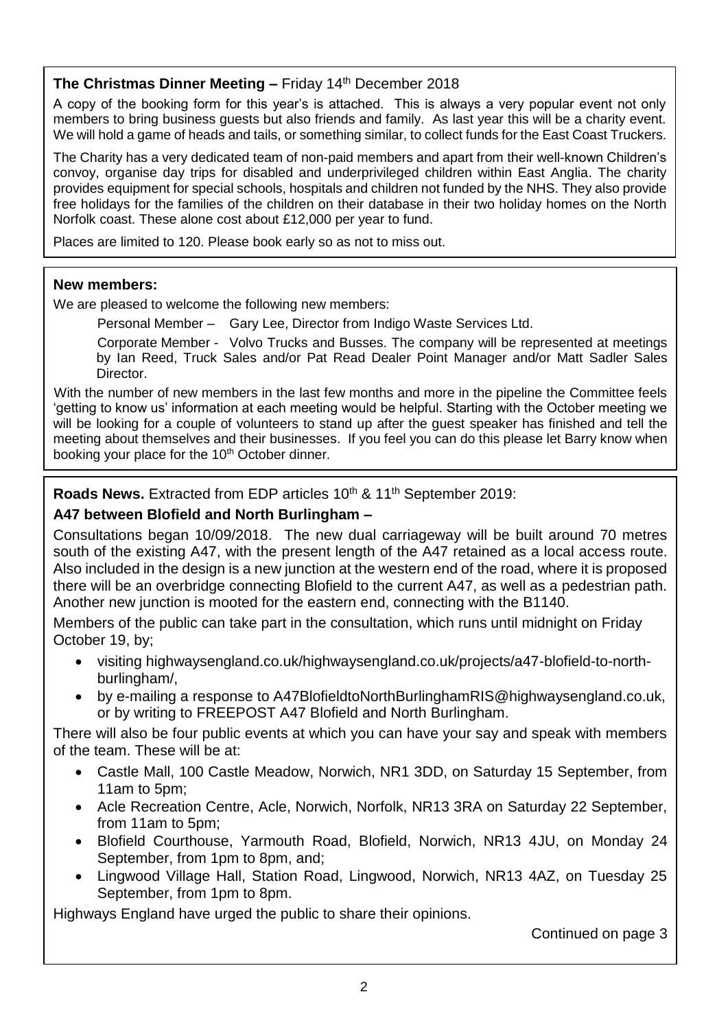## **The Christmas Dinner Meeting –** Friday 14<sup>th</sup> December 2018

A copy of the booking form for this year's is attached. This is always a very popular event not only members to bring business guests but also friends and family. As last year this will be a charity event. We will hold a game of heads and tails, or something similar, to collect funds for the East Coast Truckers.

The Charity has a very dedicated team of non-paid members and apart from their well-known Children's convoy, organise day trips for disabled and underprivileged children within East Anglia. The charity provides equipment for special schools, hospitals and children not funded by the NHS. They also provide free holidays for the families of the children on their database in their two holiday homes on the North Norfolk coast. These alone cost about £12,000 per year to fund.

Places are limited to 120. Please book early so as not to miss out.

## **New members:**

We are pleased to welcome the following new members:

Personal Member – Gary Lee, Director from Indigo Waste Services Ltd.

Corporate Member - Volvo Trucks and Busses. The company will be represented at meetings by Ian Reed, Truck Sales and/or Pat Read Dealer Point Manager and/or Matt Sadler Sales Director.

With the number of new members in the last few months and more in the pipeline the Committee feels 'getting to know us' information at each meeting would be helpful. Starting with the October meeting we will be looking for a couple of volunteers to stand up after the quest speaker has finished and tell the meeting about themselves and their businesses. If you feel you can do this please let Barry know when booking your place for the 10<sup>th</sup> October dinner.

## **Roads News.** Extracted from EDP articles 10<sup>th</sup> & 11<sup>th</sup> September 2019:

## **A47 between Blofield and North Burlingham –**

Consultations began 10/09/2018. The new dual carriageway will be built around 70 metres south of the existing A47, with the present length of the A47 retained as a local access route. Also included in the design is a new junction at the western end of the road, where it is proposed there will be an overbridge connecting Blofield to the current A47, as well as a pedestrian path. Another new junction is mooted for the eastern end, connecting with the B1140.

Members of the public can take part in the consultation, which runs until midnight on Friday October 19, by;

- visiting highwaysengland.co.uk/highwaysengland.co.uk/projects/a47-blofield-to-northburlingham/,
- by e-mailing a response to A47BlofieldtoNorthBurlinghamRIS@highwaysengland.co.uk, or by writing to FREEPOST A47 Blofield and North Burlingham.

There will also be four public events at which you can have your say and speak with members of the team. These will be at:

- Castle Mall, 100 Castle Meadow, Norwich, NR1 3DD, on Saturday 15 September, from 11am to 5pm;
- Acle Recreation Centre, Acle, Norwich, Norfolk, NR13 3RA on Saturday 22 September, from 11am to 5pm;
- Blofield Courthouse, Yarmouth Road, Blofield, Norwich, NR13 4JU, on Monday 24 September, from 1pm to 8pm, and;
- Lingwood Village Hall, Station Road, Lingwood, Norwich, NR13 4AZ, on Tuesday 25 September, from 1pm to 8pm.

Highways England have urged the public to share their opinions.

Continued on page 3